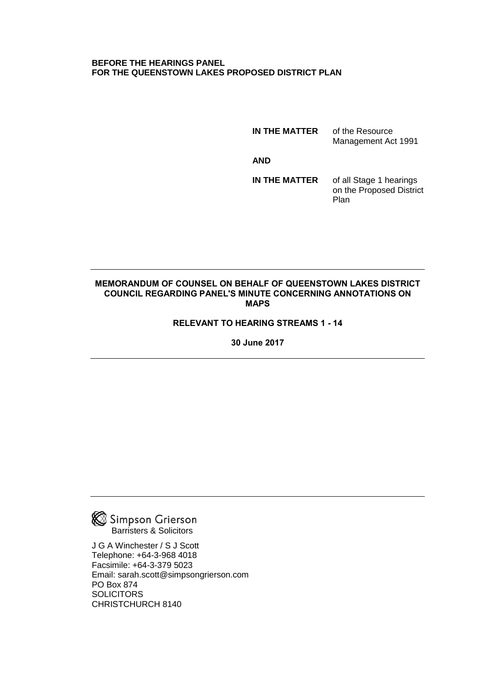### **BEFORE THE HEARINGS PANEL FOR THE QUEENSTOWN LAKES PROPOSED DISTRICT PLAN**

**IN THE MATTER** of the Resource

Management Act 1991

**AND**

**IN THE MATTER** of all Stage 1 hearings on the Proposed District Plan

### **MEMORANDUM OF COUNSEL ON BEHALF OF QUEENSTOWN LAKES DISTRICT COUNCIL REGARDING PANEL'S MINUTE CONCERNING ANNOTATIONS ON MAPS**

# **RELEVANT TO HEARING STREAMS 1 - 14**

**30 June 2017**



J G A Winchester / S J Scott Telephone: +64-3-968 4018 Facsimile: +64-3-379 5023 Email: sarah.scott@simpsongrierson.com PO Box 874 **SOLICITORS** CHRISTCHURCH 8140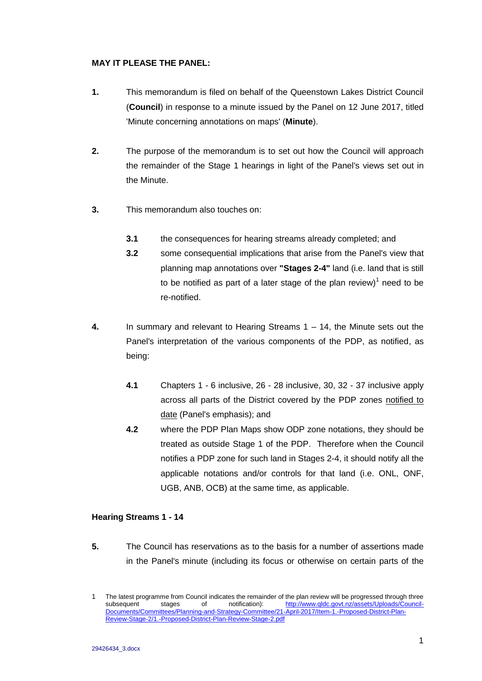## **MAY IT PLEASE THE PANEL:**

- **1.** This memorandum is filed on behalf of the Queenstown Lakes District Council (**Council**) in response to a minute issued by the Panel on 12 June 2017, titled 'Minute concerning annotations on maps' (**Minute**).
- **2.** The purpose of the memorandum is to set out how the Council will approach the remainder of the Stage 1 hearings in light of the Panel's views set out in the Minute.
- **3.** This memorandum also touches on:
	- **3.1** the consequences for hearing streams already completed; and
	- **3.2** some consequential implications that arise from the Panel's view that planning map annotations over **"Stages 2-4"** land (i.e. land that is still to be notified as part of a later stage of the plan review) $1$  need to be re-notified.
- **4.** In summary and relevant to Hearing Streams 1 14, the Minute sets out the Panel's interpretation of the various components of the PDP, as notified, as being:
	- **4.1** Chapters 1 6 inclusive, 26 28 inclusive, 30, 32 37 inclusive apply across all parts of the District covered by the PDP zones notified to date (Panel's emphasis); and
	- **4.2** where the PDP Plan Maps show ODP zone notations, they should be treated as outside Stage 1 of the PDP. Therefore when the Council notifies a PDP zone for such land in Stages 2-4, it should notify all the applicable notations and/or controls for that land (i.e. ONL, ONF, UGB, ANB, OCB) at the same time, as applicable.

## **Hearing Streams 1 - 14**

**5.** The Council has reservations as to the basis for a number of assertions made in the Panel's minute (including its focus or otherwise on certain parts of the

<sup>1</sup> The latest programme from Council indicates the remainder of the plan review will be progressed through three subsequent stages of notification): [http://www.qldc.govt.nz/assets/Uploads/Council-](http://www.qldc.govt.nz/assets/Uploads/Council-Documents/Committees/Planning-and-Strategy-Committee/21-April-2017/Item-1.-Proposed-District-Plan-Review-Stage-2/1.-Proposed-District-Plan-Review-Stage-2.pdf)[Documents/Committees/Planning-and-Strategy-Committee/21-April-2017/Item-1.-Proposed-District-Plan-](http://www.qldc.govt.nz/assets/Uploads/Council-Documents/Committees/Planning-and-Strategy-Committee/21-April-2017/Item-1.-Proposed-District-Plan-Review-Stage-2/1.-Proposed-District-Plan-Review-Stage-2.pdf)[Review-Stage-2/1.-Proposed-District-Plan-Review-Stage-2.pdf](http://www.qldc.govt.nz/assets/Uploads/Council-Documents/Committees/Planning-and-Strategy-Committee/21-April-2017/Item-1.-Proposed-District-Plan-Review-Stage-2/1.-Proposed-District-Plan-Review-Stage-2.pdf)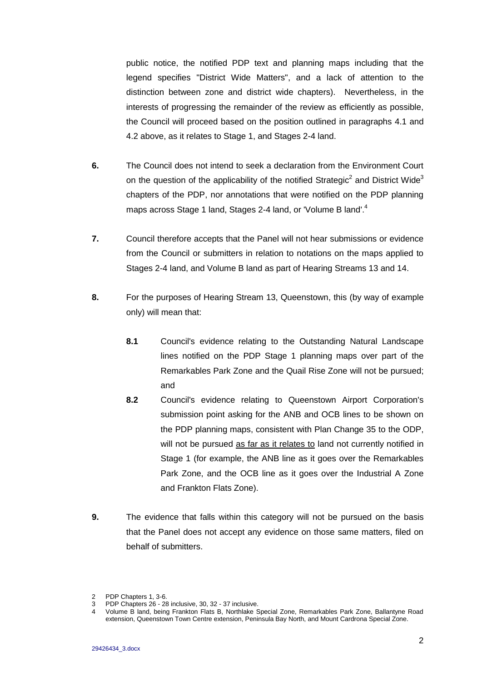public notice, the notified PDP text and planning maps including that the legend specifies "District Wide Matters", and a lack of attention to the distinction between zone and district wide chapters). Nevertheless, in the interests of progressing the remainder of the review as efficiently as possible, the Council will proceed based on the position outlined in paragraphs 4.1 and 4.2 above, as it relates to Stage 1, and Stages 2-4 land.

- **6.** The Council does not intend to seek a declaration from the Environment Court on the question of the applicability of the notified Strategic<sup>2</sup> and District Wide<sup>3</sup> chapters of the PDP, nor annotations that were notified on the PDP planning maps across Stage 1 land, Stages 2-4 land, or 'Volume B land'.<sup>4</sup>
- **7.** Council therefore accepts that the Panel will not hear submissions or evidence from the Council or submitters in relation to notations on the maps applied to Stages 2-4 land, and Volume B land as part of Hearing Streams 13 and 14.
- **8.** For the purposes of Hearing Stream 13, Queenstown, this (by way of example only) will mean that:
	- **8.1** Council's evidence relating to the Outstanding Natural Landscape lines notified on the PDP Stage 1 planning maps over part of the Remarkables Park Zone and the Quail Rise Zone will not be pursued; and
	- **8.2** Council's evidence relating to Queenstown Airport Corporation's submission point asking for the ANB and OCB lines to be shown on the PDP planning maps, consistent with Plan Change 35 to the ODP, will not be pursued as far as it relates to land not currently notified in Stage 1 (for example, the ANB line as it goes over the Remarkables Park Zone, and the OCB line as it goes over the Industrial A Zone and Frankton Flats Zone).
- **9.** The evidence that falls within this category will not be pursued on the basis that the Panel does not accept any evidence on those same matters, filed on behalf of submitters.

<sup>2</sup> PDP Chapters 1, 3-6.

PDP Chapters 26 - 28 inclusive, 30, 32 - 37 inclusive.

<sup>4</sup> Volume B land, being Frankton Flats B, Northlake Special Zone, Remarkables Park Zone, Ballantyne Road extension, Queenstown Town Centre extension, Peninsula Bay North, and Mount Cardrona Special Zone.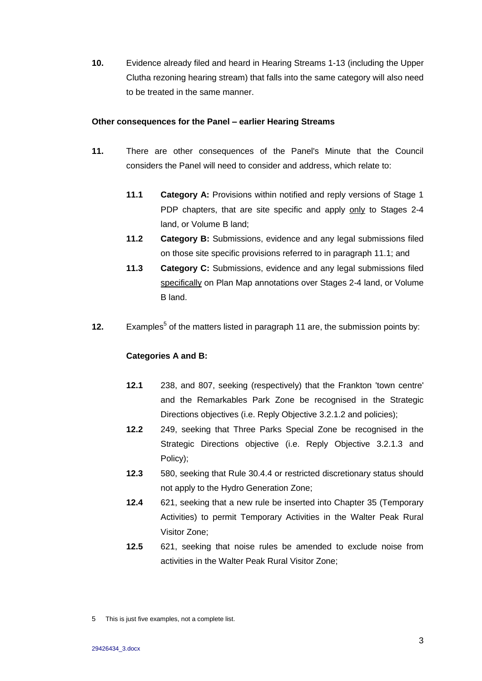**10.** Evidence already filed and heard in Hearing Streams 1-13 (including the Upper Clutha rezoning hearing stream) that falls into the same category will also need to be treated in the same manner.

#### **Other consequences for the Panel – earlier Hearing Streams**

- **11.** There are other consequences of the Panel's Minute that the Council considers the Panel will need to consider and address, which relate to:
	- **11.1 Category A:** Provisions within notified and reply versions of Stage 1 PDP chapters, that are site specific and apply only to Stages 2-4 land, or Volume B land;
	- **11.2 Category B:** Submissions, evidence and any legal submissions filed on those site specific provisions referred to in paragraph 11.1; and
	- **11.3 Category C:** Submissions, evidence and any legal submissions filed specifically on Plan Map annotations over Stages 2-4 land, or Volume B land.
- **12.** Examples<sup>5</sup> of the matters listed in paragraph 11 are, the submission points by:

### **Categories A and B:**

- **12.1** 238, and 807, seeking (respectively) that the Frankton 'town centre' and the Remarkables Park Zone be recognised in the Strategic Directions objectives (i.e. Reply Objective 3.2.1.2 and policies);
- **12.2** 249, seeking that Three Parks Special Zone be recognised in the Strategic Directions objective (i.e. Reply Objective 3.2.1.3 and Policy);
- **12.3** 580, seeking that Rule 30.4.4 or restricted discretionary status should not apply to the Hydro Generation Zone;
- **12.4** 621, seeking that a new rule be inserted into Chapter 35 (Temporary Activities) to permit Temporary Activities in the Walter Peak Rural Visitor Zone;
- **12.5** 621, seeking that noise rules be amended to exclude noise from activities in the Walter Peak Rural Visitor Zone;

<sup>5</sup> This is just five examples, not a complete list.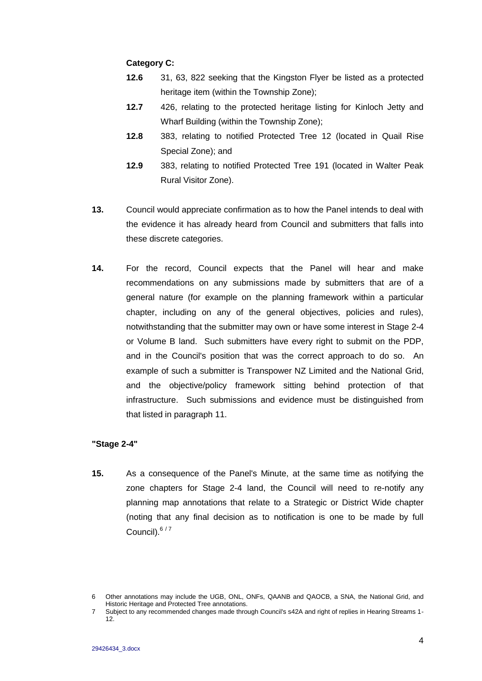### **Category C:**

- **12.6** 31, 63, 822 seeking that the Kingston Flyer be listed as a protected heritage item (within the Township Zone);
- **12.7** 426, relating to the protected heritage listing for Kinloch Jetty and Wharf Building (within the Township Zone);
- **12.8** 383, relating to notified Protected Tree 12 (located in Quail Rise Special Zone); and
- **12.9** 383, relating to notified Protected Tree 191 (located in Walter Peak Rural Visitor Zone).
- **13.** Council would appreciate confirmation as to how the Panel intends to deal with the evidence it has already heard from Council and submitters that falls into these discrete categories.
- **14.** For the record, Council expects that the Panel will hear and make recommendations on any submissions made by submitters that are of a general nature (for example on the planning framework within a particular chapter, including on any of the general objectives, policies and rules), notwithstanding that the submitter may own or have some interest in Stage 2-4 or Volume B land. Such submitters have every right to submit on the PDP, and in the Council's position that was the correct approach to do so. An example of such a submitter is Transpower NZ Limited and the National Grid, and the objective/policy framework sitting behind protection of that infrastructure. Such submissions and evidence must be distinguished from that listed in paragraph 11.

### **"Stage 2-4"**

**15.** As a consequence of the Panel's Minute, at the same time as notifying the zone chapters for Stage 2-4 land, the Council will need to re-notify any planning map annotations that relate to a Strategic or District Wide chapter (noting that any final decision as to notification is one to be made by full Council).<sup>6/7</sup>

<sup>6</sup> Other annotations may include the UGB, ONL, ONFs, QAANB and QAOCB, a SNA, the National Grid, and Historic Heritage and Protected Tree annotations.

<sup>7</sup> Subject to any recommended changes made through Council's s42A and right of replies in Hearing Streams 1- 12.